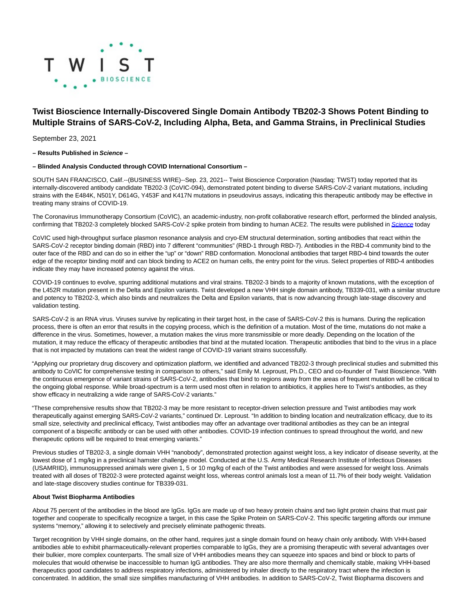

# **Twist Bioscience Internally-Discovered Single Domain Antibody TB202-3 Shows Potent Binding to Multiple Strains of SARS-CoV-2, Including Alpha, Beta, and Gamma Strains, in Preclinical Studies**

September 23, 2021

**– Results Published in Science –**

#### **– Blinded Analysis Conducted through COVID International Consortium –**

SOUTH SAN FRANCISCO, Calif.--(BUSINESS WIRE)--Sep. 23, 2021-- Twist Bioscience Corporation (Nasdaq: TWST) today reported that its internally-discovered antibody candidate TB202-3 (CoVIC-094), demonstrated potent binding to diverse SARS-CoV-2 variant mutations, including strains with the E484K, N501Y, D614G, Y453F and K417N mutations in pseudovirus assays, indicating this therapeutic antibody may be effective in treating many strains of COVID-19.

The Coronavirus Immunotherapy Consortium (CoVIC), an academic-industry, non-profit collaborative research effort, performed the blinded analysis, confirming that TB202-3 completely blocked SARS-CoV-2 spike protein from binding to human ACE2. The results were published in [Science](https://cts.businesswire.com/ct/CT?id=smartlink&url=https%3A%2F%2Fwww.science.org%2Fdoi%2F10.1126%2Fscience.abh2315&esheet=52496576&newsitemid=20210923005235&lan=en-US&anchor=Science&index=1&md5=cde53422743510b46e7b5c450f89d652) today

CoVIC used high-throughput surface plasmon resonance analysis and cryo-EM structural determination, sorting antibodies that react within the SARS-CoV-2 receptor binding domain (RBD) into 7 different "communities" (RBD-1 through RBD-7). Antibodies in the RBD-4 community bind to the outer face of the RBD and can do so in either the "up" or "down" RBD conformation. Monoclonal antibodies that target RBD-4 bind towards the outer edge of the receptor binding motif and can block binding to ACE2 on human cells, the entry point for the virus. Select properties of RBD-4 antibodies indicate they may have increased potency against the virus.

COVID-19 continues to evolve, spurring additional mutations and viral strains. TB202-3 binds to a majority of known mutations, with the exception of the L452R mutation present in the Delta and Epsilon variants. Twist developed a new VHH single domain antibody, TB339-031, with a similar structure and potency to TB202-3, which also binds and neutralizes the Delta and Epsilon variants, that is now advancing through late-stage discovery and validation testing.

SARS-CoV-2 is an RNA virus. Viruses survive by replicating in their target host, in the case of SARS-CoV-2 this is humans. During the replication process, there is often an error that results in the copying process, which is the definition of a mutation. Most of the time, mutations do not make a difference in the virus. Sometimes, however, a mutation makes the virus more transmissible or more deadly. Depending on the location of the mutation, it may reduce the efficacy of therapeutic antibodies that bind at the mutated location. Therapeutic antibodies that bind to the virus in a place that is not impacted by mutations can treat the widest range of COVID-19 variant strains successfully.

"Applying our proprietary drug discovery and optimization platform, we identified and advanced TB202-3 through preclinical studies and submitted this antibody to CoVIC for comprehensive testing in comparison to others," said Emily M. Leproust, Ph.D., CEO and co-founder of Twist Bioscience. "With the continuous emergence of variant strains of SARS-CoV-2, antibodies that bind to regions away from the areas of frequent mutation will be critical to the ongoing global response. While broad-spectrum is a term used most often in relation to antibiotics, it applies here to Twist's antibodies, as they show efficacy in neutralizing a wide range of SARS-CoV-2 variants."

"These comprehensive results show that TB202-3 may be more resistant to receptor-driven selection pressure and Twist antibodies may work therapeutically against emerging SARS-CoV-2 variants," continued Dr. Leproust. "In addition to binding location and neutralization efficacy, due to its small size, selectivity and preclinical efficacy, Twist antibodies may offer an advantage over traditional antibodies as they can be an integral component of a bispecific antibody or can be used with other antibodies. COVID-19 infection continues to spread throughout the world, and new therapeutic options will be required to treat emerging variants."

Previous studies of TB202-3, a single domain VHH "nanobody", demonstrated protection against weight loss, a key indicator of disease severity, at the lowest dose of 1 mg/kg in a preclinical hamster challenge model. Conducted at the U.S. Army Medical Research Institute of Infectious Diseases (USAMRIID), immunosuppressed animals were given 1, 5 or 10 mg/kg of each of the Twist antibodies and were assessed for weight loss. Animals treated with all doses of TB202-3 were protected against weight loss, whereas control animals lost a mean of 11.7% of their body weight. Validation and late-stage discovery studies continue for TB339-031.

## **About Twist Biopharma Antibodies**

About 75 percent of the antibodies in the blood are IgGs. IgGs are made up of two heavy protein chains and two light protein chains that must pair together and cooperate to specifically recognize a target, in this case the Spike Protein on SARS-CoV-2. This specific targeting affords our immune systems "memory," allowing it to selectively and precisely eliminate pathogenic threats.

Target recognition by VHH single domains, on the other hand, requires just a single domain found on heavy chain only antibody. With VHH-based antibodies able to exhibit pharmaceutically-relevant properties comparable to IgGs, they are a promising therapeutic with several advantages over their bulkier, more complex counterparts. The small size of VHH antibodies means they can squeeze into spaces and bind or block to parts of molecules that would otherwise be inaccessible to human IgG antibodies. They are also more thermally and chemically stable, making VHH-based therapeutics good candidates to address respiratory infections, administered by inhaler directly to the respiratory tract where the infection is concentrated. In addition, the small size simplifies manufacturing of VHH antibodies. In addition to SARS-CoV-2, Twist Biopharma discovers and